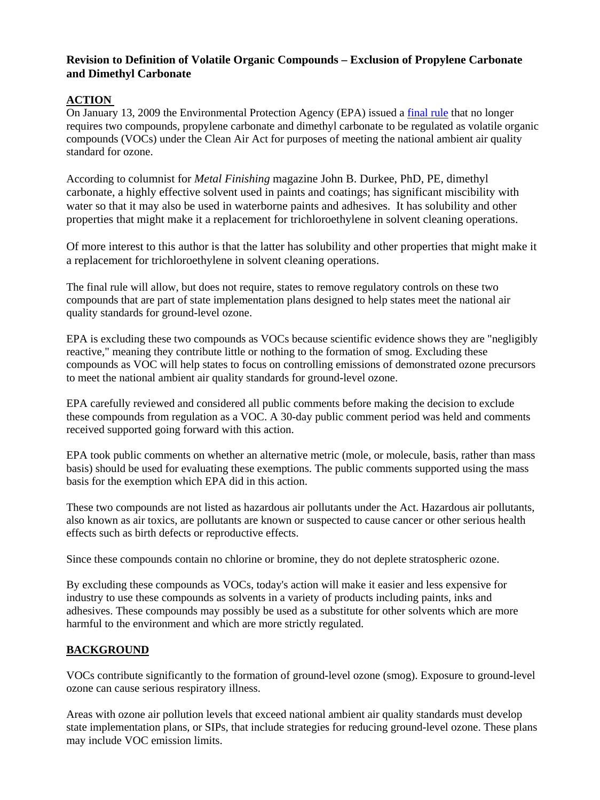## **Revision to Definition of Volatile Organic Compounds – Exclusion of Propylene Carbonate and Dimethyl Carbonate**

## **ACTION**

On January 13, 2009 the Environmental Protection Agency (EPA) issued a [final rule](http://www.epa.gov/ttn/oarpg/t1/fr_notices/voc_exemp_fr_011309.pdf) that no longer requires two compounds, propylene carbonate and dimethyl carbonate to be regulated as volatile organic compounds (VOCs) under the Clean Air Act for purposes of meeting the national ambient air quality standard for ozone.

According to columnist for *Metal Finishing* magazine John B. Durkee, PhD, PE, dimethyl carbonate, a highly effective solvent used in paints and coatings; has significant miscibility with water so that it may also be used in waterborne paints and adhesives. It has solubility and other properties that might make it a replacement for trichloroethylene in solvent cleaning operations.

Of more interest to this author is that the latter has solubility and other properties that might make it a replacement for trichloroethylene in solvent cleaning operations.

The final rule will allow, but does not require, states to remove regulatory controls on these two compounds that are part of state implementation plans designed to help states meet the national air quality standards for ground-level ozone.

EPA is excluding these two compounds as VOCs because scientific evidence shows they are "negligibly reactive," meaning they contribute little or nothing to the formation of smog. Excluding these compounds as VOC will help states to focus on controlling emissions of demonstrated ozone precursors to meet the national ambient air quality standards for ground-level ozone.

EPA carefully reviewed and considered all public comments before making the decision to exclude these compounds from regulation as a VOC. A 30-day public comment period was held and comments received supported going forward with this action.

EPA took public comments on whether an alternative metric (mole, or molecule, basis, rather than mass basis) should be used for evaluating these exemptions. The public comments supported using the mass basis for the exemption which EPA did in this action.

These two compounds are not listed as hazardous air pollutants under the Act. Hazardous air pollutants, also known as air toxics, are pollutants are known or suspected to cause cancer or other serious health effects such as birth defects or reproductive effects.

Since these compounds contain no chlorine or bromine, they do not deplete stratospheric ozone.

By excluding these compounds as VOCs, today's action will make it easier and less expensive for industry to use these compounds as solvents in a variety of products including paints, inks and adhesives. These compounds may possibly be used as a substitute for other solvents which are more harmful to the environment and which are more strictly regulated.

## **BACKGROUND**

VOCs contribute significantly to the formation of ground-level ozone (smog). Exposure to ground-level ozone can cause serious respiratory illness.

Areas with ozone air pollution levels that exceed national ambient air quality standards must develop state implementation plans, or SIPs, that include strategies for reducing ground-level ozone. These plans may include VOC emission limits.